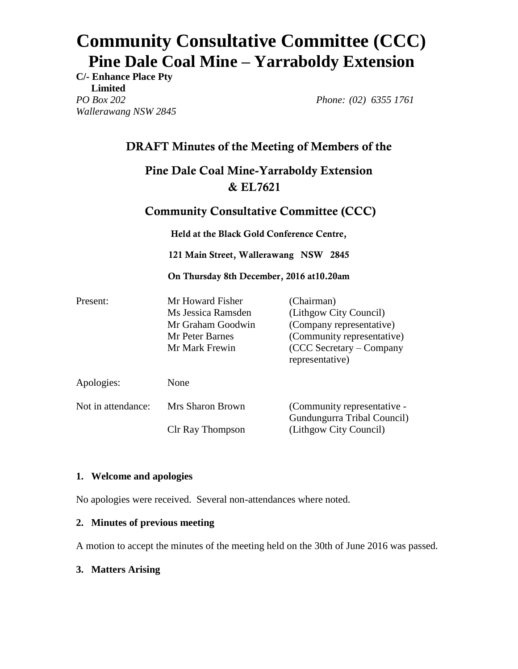# **Community Consultative Committee (CCC) Pine Dale Coal Mine – Yarraboldy Extension**

**C/- Enhance Place Pty Limited** *PO Box 202 Wallerawang NSW 2845*

*Phone: (02) 6355 1761*

# **DRAFT Minutes of the Meeting of Members of the**

# **Pine Dale Coal Mine-Yarraboldy Extension & EL7621**

# **Community Consultative Committee (CCC)**

**Held at the Black Gold Conference Centre,** 

**121 Main Street, Wallerawang NSW 2845**

**On Thursday 8th December, 2016 at10.20am** 

| Present:           | Mr Howard Fisher        | (Chairman)                                                 |
|--------------------|-------------------------|------------------------------------------------------------|
|                    | Ms Jessica Ramsden      | (Lithgow City Council)                                     |
|                    | Mr Graham Goodwin       | (Company representative)                                   |
|                    | Mr Peter Barnes         | (Community representative)                                 |
|                    | Mr Mark Frewin          | $(CCC$ Secretary – Company<br>representative)              |
| Apologies:         | None                    |                                                            |
| Not in attendance: | Mrs Sharon Brown        | (Community representative -<br>Gundungurra Tribal Council) |
|                    | <b>Clr Ray Thompson</b> | (Lithgow City Council)                                     |

#### **1. Welcome and apologies**

No apologies were received. Several non-attendances where noted.

#### **2. Minutes of previous meeting**

A motion to accept the minutes of the meeting held on the 30th of June 2016 was passed.

# **3. Matters Arising**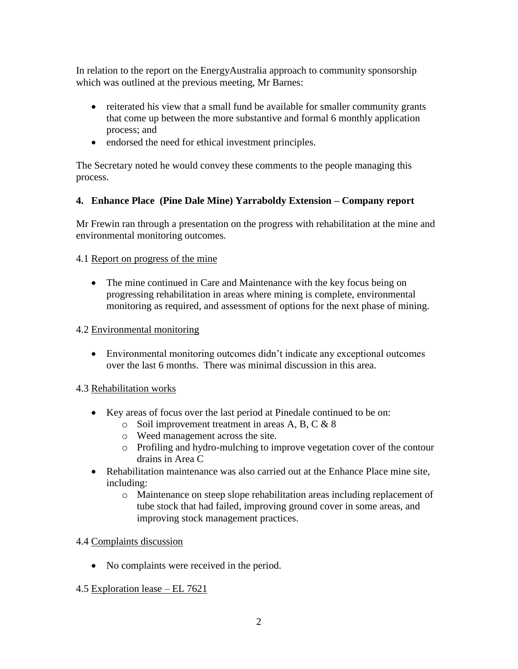In relation to the report on the EnergyAustralia approach to community sponsorship which was outlined at the previous meeting, Mr Barnes:

- reiterated his view that a small fund be available for smaller community grants that come up between the more substantive and formal 6 monthly application process; and
- endorsed the need for ethical investment principles.

The Secretary noted he would convey these comments to the people managing this process.

# **4. Enhance Place (Pine Dale Mine) Yarraboldy Extension – Company report**

Mr Frewin ran through a presentation on the progress with rehabilitation at the mine and environmental monitoring outcomes.

### 4.1 Report on progress of the mine

• The mine continued in Care and Maintenance with the key focus being on progressing rehabilitation in areas where mining is complete, environmental monitoring as required, and assessment of options for the next phase of mining.

#### 4.2 Environmental monitoring

 Environmental monitoring outcomes didn't indicate any exceptional outcomes over the last 6 months. There was minimal discussion in this area.

# 4.3 Rehabilitation works

- Key areas of focus over the last period at Pinedale continued to be on:
	- $\circ$  Soil improvement treatment in areas A, B, C & 8
	- o Weed management across the site.
	- o Profiling and hydro-mulching to improve vegetation cover of the contour drains in Area C
- Rehabilitation maintenance was also carried out at the Enhance Place mine site, including:
	- o Maintenance on steep slope rehabilitation areas including replacement of tube stock that had failed, improving ground cover in some areas, and improving stock management practices.

#### 4.4 Complaints discussion

• No complaints were received in the period.

# 4.5 Exploration lease – EL 7621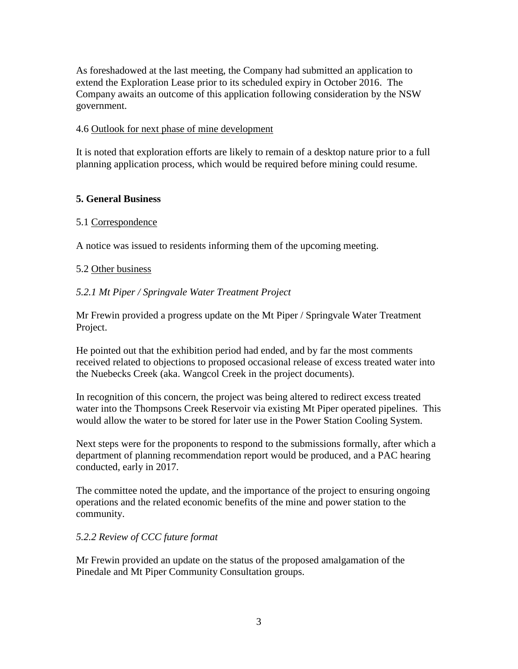As foreshadowed at the last meeting, the Company had submitted an application to extend the Exploration Lease prior to its scheduled expiry in October 2016. The Company awaits an outcome of this application following consideration by the NSW government.

#### 4.6 Outlook for next phase of mine development

It is noted that exploration efforts are likely to remain of a desktop nature prior to a full planning application process, which would be required before mining could resume.

### **5. General Business**

### 5.1 Correspondence

A notice was issued to residents informing them of the upcoming meeting.

#### 5.2 Other business

### *5.2.1 Mt Piper / Springvale Water Treatment Project*

Mr Frewin provided a progress update on the Mt Piper / Springvale Water Treatment Project.

He pointed out that the exhibition period had ended, and by far the most comments received related to objections to proposed occasional release of excess treated water into the Nuebecks Creek (aka. Wangcol Creek in the project documents).

In recognition of this concern, the project was being altered to redirect excess treated water into the Thompsons Creek Reservoir via existing Mt Piper operated pipelines. This would allow the water to be stored for later use in the Power Station Cooling System.

Next steps were for the proponents to respond to the submissions formally, after which a department of planning recommendation report would be produced, and a PAC hearing conducted, early in 2017.

The committee noted the update, and the importance of the project to ensuring ongoing operations and the related economic benefits of the mine and power station to the community.

# *5.2.2 Review of CCC future format*

Mr Frewin provided an update on the status of the proposed amalgamation of the Pinedale and Mt Piper Community Consultation groups.